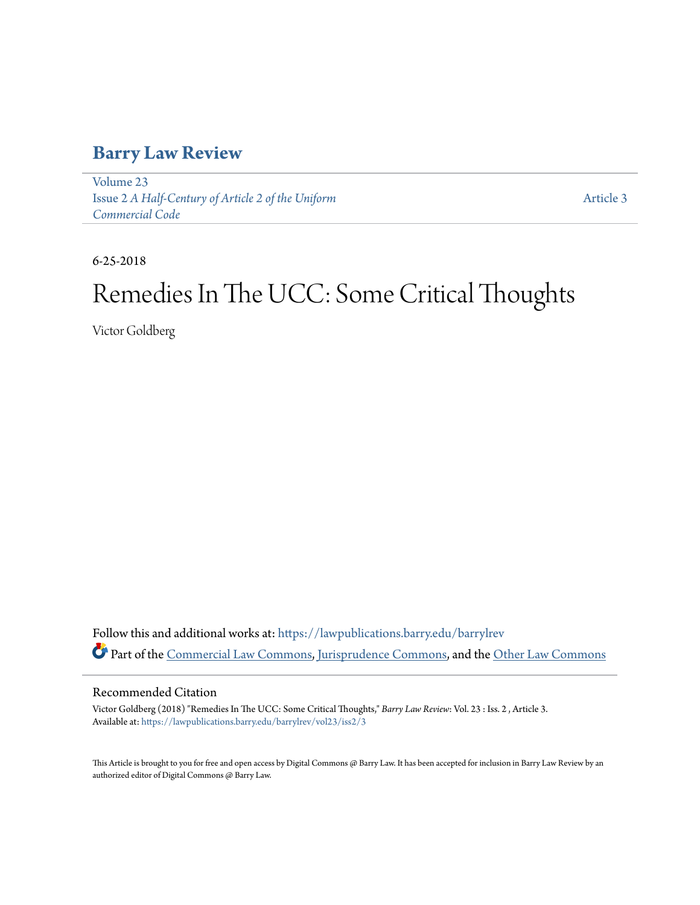## **[Barry Law Review](https://lawpublications.barry.edu/barrylrev?utm_source=lawpublications.barry.edu%2Fbarrylrev%2Fvol23%2Fiss2%2F3&utm_medium=PDF&utm_campaign=PDFCoverPages)**

[Volume 23](https://lawpublications.barry.edu/barrylrev/vol23?utm_source=lawpublications.barry.edu%2Fbarrylrev%2Fvol23%2Fiss2%2F3&utm_medium=PDF&utm_campaign=PDFCoverPages) Issue 2 *[A Half-Century of Article 2 of the Uniform](https://lawpublications.barry.edu/barrylrev/vol23/iss2?utm_source=lawpublications.barry.edu%2Fbarrylrev%2Fvol23%2Fiss2%2F3&utm_medium=PDF&utm_campaign=PDFCoverPages) [Commercial Code](https://lawpublications.barry.edu/barrylrev/vol23/iss2?utm_source=lawpublications.barry.edu%2Fbarrylrev%2Fvol23%2Fiss2%2F3&utm_medium=PDF&utm_campaign=PDFCoverPages)*

[Article 3](https://lawpublications.barry.edu/barrylrev/vol23/iss2/3?utm_source=lawpublications.barry.edu%2Fbarrylrev%2Fvol23%2Fiss2%2F3&utm_medium=PDF&utm_campaign=PDFCoverPages)

6-25-2018

# Remedies In The UCC: Some Critical Thoughts

Victor Goldberg

Follow this and additional works at: [https://lawpublications.barry.edu/barrylrev](https://lawpublications.barry.edu/barrylrev?utm_source=lawpublications.barry.edu%2Fbarrylrev%2Fvol23%2Fiss2%2F3&utm_medium=PDF&utm_campaign=PDFCoverPages) Part of the [Commercial Law Commons](http://network.bepress.com/hgg/discipline/586?utm_source=lawpublications.barry.edu%2Fbarrylrev%2Fvol23%2Fiss2%2F3&utm_medium=PDF&utm_campaign=PDFCoverPages), [Jurisprudence Commons,](http://network.bepress.com/hgg/discipline/610?utm_source=lawpublications.barry.edu%2Fbarrylrev%2Fvol23%2Fiss2%2F3&utm_medium=PDF&utm_campaign=PDFCoverPages) and the [Other Law Commons](http://network.bepress.com/hgg/discipline/621?utm_source=lawpublications.barry.edu%2Fbarrylrev%2Fvol23%2Fiss2%2F3&utm_medium=PDF&utm_campaign=PDFCoverPages)

### Recommended Citation

Victor Goldberg (2018) "Remedies In The UCC: Some Critical Thoughts," *Barry Law Review*: Vol. 23 : Iss. 2 , Article 3. Available at: [https://lawpublications.barry.edu/barrylrev/vol23/iss2/3](https://lawpublications.barry.edu/barrylrev/vol23/iss2/3?utm_source=lawpublications.barry.edu%2Fbarrylrev%2Fvol23%2Fiss2%2F3&utm_medium=PDF&utm_campaign=PDFCoverPages)

This Article is brought to you for free and open access by Digital Commons @ Barry Law. It has been accepted for inclusion in Barry Law Review by an authorized editor of Digital Commons @ Barry Law.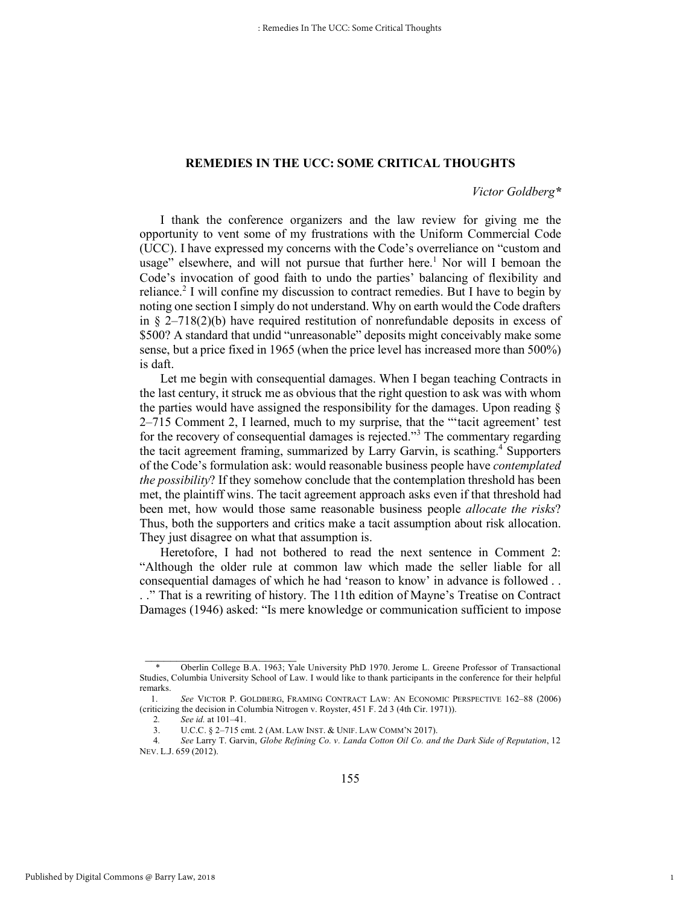#### **REMEDIES IN THE UCC: SOME CRITICAL THOUGHTS**

#### *Victor Goldberg\**

1

I thank the conference organizers and the law review for giving me the opportunity to vent some of my frustrations with the Uniform Commercial Code (UCC). I have expressed my concerns with the Code's overreliance on "custom and usage" elsewhere, and will not pursue that further here.<sup>1</sup> Nor will I bemoan the Code's invocation of good faith to undo the parties' balancing of flexibility and reliance.<sup>2</sup> I will confine my discussion to contract remedies. But I have to begin by noting one section I simply do not understand. Why on earth would the Code drafters in  $\S$  2–718(2)(b) have required restitution of nonrefundable deposits in excess of \$500? A standard that undid "unreasonable" deposits might conceivably make some sense, but a price fixed in 1965 (when the price level has increased more than 500%) is daft.

Let me begin with consequential damages. When I began teaching Contracts in the last century, it struck me as obvious that the right question to ask was with whom the parties would have assigned the responsibility for the damages. Upon reading § 2–715 Comment 2, I learned, much to my surprise, that the "'tacit agreement' test for the recovery of consequential damages is rejected."<sup>3</sup> The commentary regarding the tacit agreement framing, summarized by Larry Garvin, is scathing.<sup>4</sup> Supporters of the Code's formulation ask: would reasonable business people have *contemplated the possibility*? If they somehow conclude that the contemplation threshold has been met, the plaintiff wins. The tacit agreement approach asks even if that threshold had been met, how would those same reasonable business people *allocate the risks*? Thus, both the supporters and critics make a tacit assumption about risk allocation. They just disagree on what that assumption is.

Heretofore, I had not bothered to read the next sentence in Comment 2: "Although the older rule at common law which made the seller liable for all consequential damages of which he had 'reason to know' in advance is followed . . . ." That is a rewriting of history. The 11th edition of Mayne's Treatise on Contract Damages (1946) asked: "Is mere knowledge or communication sufficient to impose

Oberlin College B.A. 1963; Yale University PhD 1970. Jerome L. Greene Professor of Transactional Studies, Columbia University School of Law. I would like to thank participants in the conference for their helpful remarks.

 <sup>1.</sup> *See* VICTOR P. GOLDBERG, FRAMING CONTRACT LAW: AN ECONOMIC PERSPECTIVE 162–88 (2006) (criticizing the decision in Columbia Nitrogen v. Royster, 451 F. 2d 3 (4th Cir. 1971)).

<sup>2</sup>*. See id.* at 101–41.

<sup>3.</sup> U.C.C. § 2–715 cmt. 2 (AM. LAW INST. & UNIF. LAW COMM'N 2017).

<sup>4</sup>*. See* Larry T. Garvin, *Globe Refining Co. v. Landa Cotton Oil Co. and the Dark Side of Reputation*, 12 NEV. L.J. 659 (2012).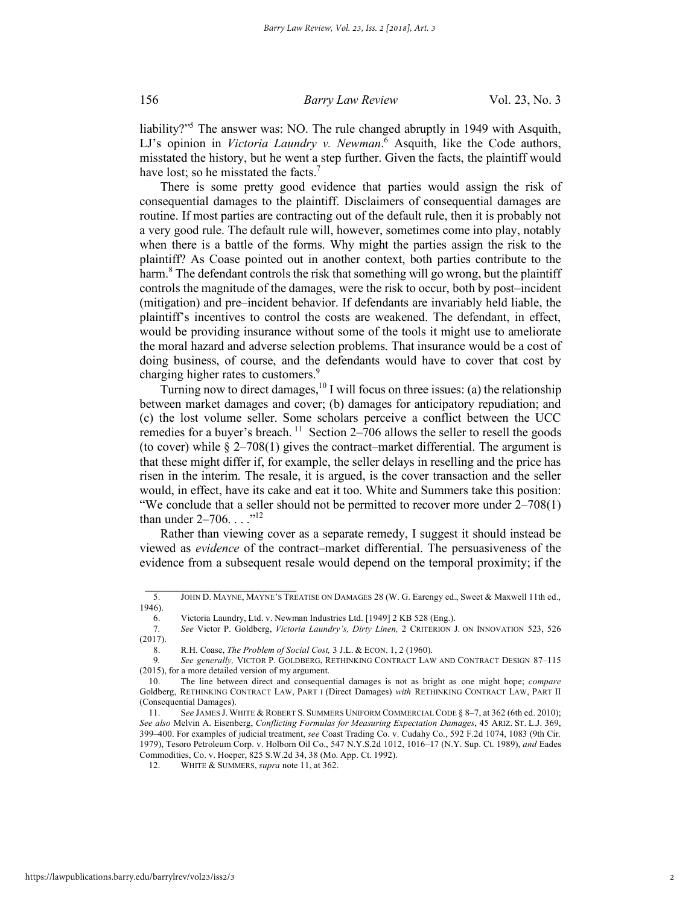liability?"5 The answer was: NO. The rule changed abruptly in 1949 with Asquith, LJ's opinion in *Victoria Laundry v. Newman*. <sup>6</sup> Asquith, like the Code authors, misstated the history, but he went a step further. Given the facts, the plaintiff would have lost; so he misstated the facts.<sup>7</sup>

There is some pretty good evidence that parties would assign the risk of consequential damages to the plaintiff. Disclaimers of consequential damages are routine. If most parties are contracting out of the default rule, then it is probably not a very good rule. The default rule will, however, sometimes come into play, notably when there is a battle of the forms. Why might the parties assign the risk to the plaintiff? As Coase pointed out in another context, both parties contribute to the harm.<sup>8</sup> The defendant controls the risk that something will go wrong, but the plaintiff controls the magnitude of the damages, were the risk to occur, both by post–incident (mitigation) and pre–incident behavior. If defendants are invariably held liable, the plaintiff's incentives to control the costs are weakened. The defendant, in effect, would be providing insurance without some of the tools it might use to ameliorate the moral hazard and adverse selection problems. That insurance would be a cost of doing business, of course, and the defendants would have to cover that cost by charging higher rates to customers.<sup>9</sup>

Turning now to direct damages,  $^{10}$  I will focus on three issues: (a) the relationship between market damages and cover; (b) damages for anticipatory repudiation; and (c) the lost volume seller. Some scholars perceive a conflict between the UCC remedies for a buyer's breach.<sup>11</sup> Section 2–706 allows the seller to resell the goods (to cover) while § 2–708(1) gives the contract–market differential. The argument is that these might differ if, for example, the seller delays in reselling and the price has risen in the interim. The resale, it is argued, is the cover transaction and the seller would, in effect, have its cake and eat it too. White and Summers take this position: "We conclude that a seller should not be permitted to recover more under 2–708(1) than under  $2-706$ ...."<sup>12</sup>

Rather than viewing cover as a separate remedy, I suggest it should instead be viewed as *evidence* of the contract–market differential. The persuasiveness of the evidence from a subsequent resale would depend on the temporal proximity; if the

 $\frac{1}{2}$  ,  $\frac{1}{2}$  ,  $\frac{1}{2}$  ,  $\frac{1}{2}$  ,  $\frac{1}{2}$  ,  $\frac{1}{2}$  ,  $\frac{1}{2}$  ,  $\frac{1}{2}$  ,  $\frac{1}{2}$  ,  $\frac{1}{2}$  ,  $\frac{1}{2}$  ,  $\frac{1}{2}$  ,  $\frac{1}{2}$  ,  $\frac{1}{2}$  ,  $\frac{1}{2}$  ,  $\frac{1}{2}$  ,  $\frac{1}{2}$  ,  $\frac{1}{2}$  ,  $\frac{1$ 

<sup>5.</sup> JOHN D. MAYNE, MAYNE'S TREATISE ON DAMAGES 28 (W. G. Earengy ed., Sweet & Maxwell 11th ed., 1946).

<sup>6.</sup> Victoria Laundry, Ltd. v. Newman Industries Ltd. [1949] 2 KB 528 (Eng.).

<sup>7</sup>*. See* Victor P. Goldberg, *Victoria Laundry's, Dirty Linen,* 2 CRITERION J. ON INNOVATION 523, 526 (2017).

<sup>8.</sup> R.H. Coase, *The Problem of Social Cost,* 3 J.L. & ECON. 1, 2 (1960).

<sup>9</sup>*. See generally,* VICTOR P. GOLDBERG, RETHINKING CONTRACT LAW AND CONTRACT DESIGN 87–115 (2015), for a more detailed version of my argument.

<sup>10.</sup> The line between direct and consequential damages is not as bright as one might hope; *compare*  Goldberg, RETHINKING CONTRACT LAW, PART I (Direct Damages) *with* RETHINKING CONTRACT LAW, PART II (Consequential Damages).

<sup>11.</sup> S*ee* JAMES J. WHITE & ROBERT S. SUMMERS UNIFORM COMMERCIAL CODE § 8–7, at 362 (6th ed. 2010); *See also* Melvin A. Eisenberg, *Conflicting Formulas for Measuring Expectation Damages*, 45 ARIZ. ST. L.J. 369, 399–400. For examples of judicial treatment, *see* Coast Trading Co. v. Cudahy Co., 592 F.2d 1074, 1083 (9th Cir. 1979), Tesoro Petroleum Corp. v. Holborn Oil Co., 547 N.Y.S.2d 1012, 1016–17 (N.Y. Sup. Ct. 1989), *and* Eades Commodities, Co. v. Hoeper, 825 S.W.2d 34, 38 (Mo. App. Ct. 1992).

<sup>12.</sup> WHITE & SUMMERS, *supra* note 11, at 362.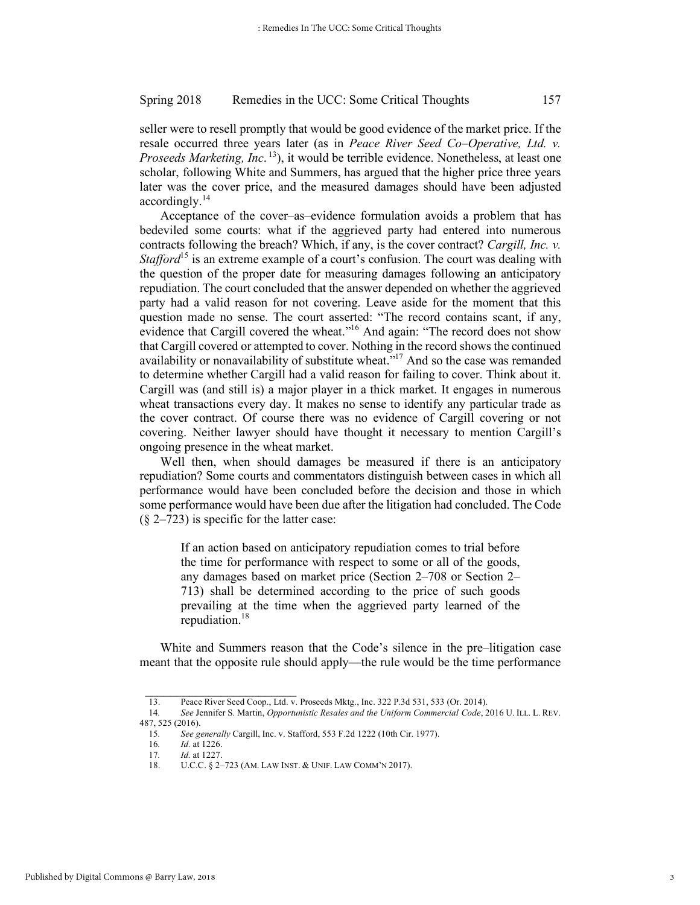seller were to resell promptly that would be good evidence of the market price. If the resale occurred three years later (as in *Peace River Seed Co*–*Operative, Ltd. v. Proseeds Marketing, Inc*. 13), it would be terrible evidence. Nonetheless, at least one scholar, following White and Summers, has argued that the higher price three years later was the cover price, and the measured damages should have been adjusted accordingly.<sup>14</sup>

Acceptance of the cover–as–evidence formulation avoids a problem that has bedeviled some courts: what if the aggrieved party had entered into numerous contracts following the breach? Which, if any, is the cover contract? *Cargill, Inc. v. Stafford*<sup>15</sup> is an extreme example of a court's confusion. The court was dealing with the question of the proper date for measuring damages following an anticipatory repudiation. The court concluded that the answer depended on whether the aggrieved party had a valid reason for not covering. Leave aside for the moment that this question made no sense. The court asserted: "The record contains scant, if any, evidence that Cargill covered the wheat."<sup>16</sup> And again: "The record does not show that Cargill covered or attempted to cover. Nothing in the record shows the continued availability or nonavailability of substitute wheat.<sup>"17</sup> And so the case was remanded to determine whether Cargill had a valid reason for failing to cover. Think about it. Cargill was (and still is) a major player in a thick market. It engages in numerous wheat transactions every day. It makes no sense to identify any particular trade as the cover contract. Of course there was no evidence of Cargill covering or not covering. Neither lawyer should have thought it necessary to mention Cargill's ongoing presence in the wheat market.

Well then, when should damages be measured if there is an anticipatory repudiation? Some courts and commentators distinguish between cases in which all performance would have been concluded before the decision and those in which some performance would have been due after the litigation had concluded. The Code  $(\S$  2–723) is specific for the latter case:

If an action based on anticipatory repudiation comes to trial before the time for performance with respect to some or all of the goods, any damages based on market price (Section 2–708 or Section 2– 713) shall be determined according to the price of such goods prevailing at the time when the aggrieved party learned of the repudiation.18

White and Summers reason that the Code's silence in the pre–litigation case meant that the opposite rule should apply—the rule would be the time performance

<sup>13.</sup> Peace River Seed Coop., Ltd. v. Proseeds Mktg., Inc. 322 P.3d 531, 533 (Or. 2014).

<sup>14</sup>*. See* Jennifer S. Martin, *Opportunistic Resales and the Uniform Commercial Code*, 2016 U. ILL. L. REV. 487, 525 (2016).

<sup>15</sup>*. See generally* Cargill, Inc. v. Stafford, 553 F.2d 1222 (10th Cir. 1977).

<sup>16.</sup> *Id.* at 1226.<br>17. *Id.* at 1227.

<sup>17</sup>*. Id.* at 1227.

<sup>18.</sup> U.C.C. § 2–723 (AM. LAW INST. & UNIF. LAW COMM'N 2017).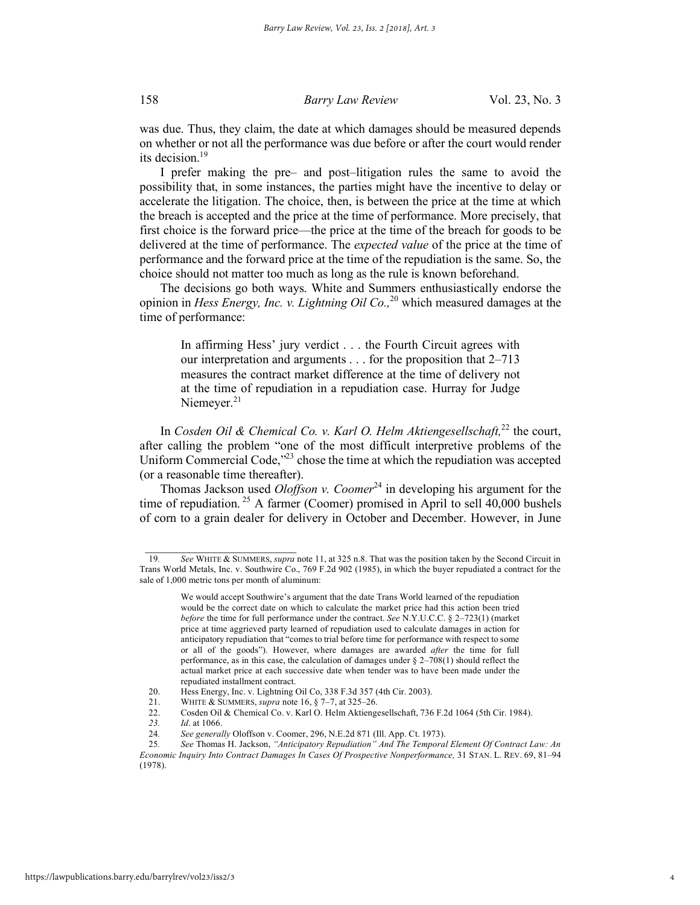was due. Thus, they claim, the date at which damages should be measured depends on whether or not all the performance was due before or after the court would render its decision.19

I prefer making the pre– and post–litigation rules the same to avoid the possibility that, in some instances, the parties might have the incentive to delay or accelerate the litigation. The choice, then, is between the price at the time at which the breach is accepted and the price at the time of performance. More precisely, that first choice is the forward price—the price at the time of the breach for goods to be delivered at the time of performance. The *expected value* of the price at the time of performance and the forward price at the time of the repudiation is the same. So, the choice should not matter too much as long as the rule is known beforehand.

The decisions go both ways. White and Summers enthusiastically endorse the opinion in *Hess Energy, Inc. v. Lightning Oil Co.,*<sup>20</sup> which measured damages at the time of performance:

In affirming Hess' jury verdict . . . the Fourth Circuit agrees with our interpretation and arguments . . . for the proposition that 2–713 measures the contract market difference at the time of delivery not at the time of repudiation in a repudiation case. Hurray for Judge Niemeyer.<sup>21</sup>

In *Cosden Oil & Chemical Co. v. Karl O. Helm Aktiengesellschaft*,<sup>22</sup> the court, after calling the problem "one of the most difficult interpretive problems of the Uniform Commercial Code,<sup>223</sup> chose the time at which the repudiation was accepted (or a reasonable time thereafter).

Thomas Jackson used *Oloffson v. Coomer*<sup>24</sup> in developing his argument for the time of repudiation.<sup>25</sup> A farmer (Coomer) promised in April to sell  $40,000$  bushels of corn to a grain dealer for delivery in October and December. However, in June

<sup>19</sup>*. See* WHITE & SUMMERS, *supra* note 11, at 325 n.8. That was the position taken by the Second Circuit in Trans World Metals, Inc. v. Southwire Co., 769 F.2d 902 (1985), in which the buyer repudiated a contract for the sale of 1,000 metric tons per month of aluminum:

We would accept Southwire's argument that the date Trans World learned of the repudiation would be the correct date on which to calculate the market price had this action been tried *before* the time for full performance under the contract. *See* N.Y.U.C.C. § 2–723(1) (market price at time aggrieved party learned of repudiation used to calculate damages in action for anticipatory repudiation that "comes to trial before time for performance with respect to some or all of the goods"). However, where damages are awarded *after* the time for full performance, as in this case, the calculation of damages under § 2–708(1) should reflect the actual market price at each successive date when tender was to have been made under the repudiated installment contract.

<sup>20.</sup> Hess Energy, Inc. v. Lightning Oil Co, 338 F.3d 357 (4th Cir. 2003).

<sup>21.</sup> WHITE & SUMMERS, *supra* note 16, § 7–7, at 325–26.

<sup>22.</sup> Cosden Oil & Chemical Co. v. Karl O. Helm Aktiengesellschaft, 736 F.2d 1064 (5th Cir. 1984).

*<sup>23.</sup> Id*. at 1066.

<sup>24</sup>*. See generally* Oloffson v. Coomer, 296, N.E.2d 871 (Ill. App. Ct. 1973).

<sup>25</sup>*. See* Thomas H. Jackson, *"Anticipatory Repudiation" And The Temporal Element Of Contract Law: An Economic Inquiry Into Contract Damages In Cases Of Prospective Nonperformance,* 31 STAN. L. REV. 69, 81–94 (1978).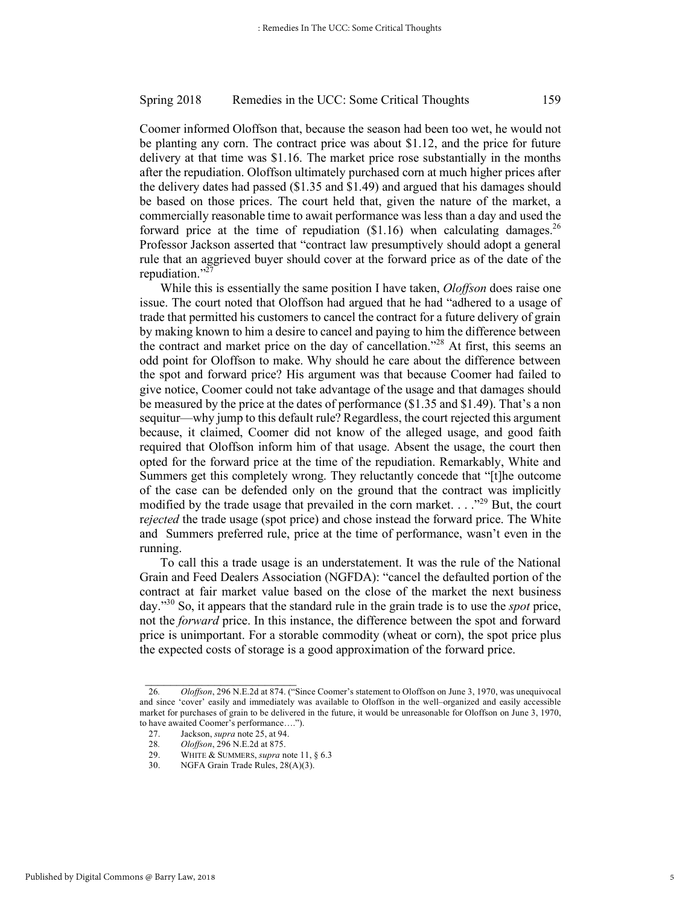Coomer informed Oloffson that, because the season had been too wet, he would not be planting any corn. The contract price was about \$1.12, and the price for future delivery at that time was \$1.16. The market price rose substantially in the months after the repudiation. Oloffson ultimately purchased corn at much higher prices after the delivery dates had passed (\$1.35 and \$1.49) and argued that his damages should be based on those prices. The court held that, given the nature of the market, a commercially reasonable time to await performance was less than a day and used the forward price at the time of repudiation  $(\$1.16)$  when calculating damages.<sup>26</sup> Professor Jackson asserted that "contract law presumptively should adopt a general rule that an aggrieved buyer should cover at the forward price as of the date of the repudiation."27

While this is essentially the same position I have taken, *Oloffson* does raise one issue. The court noted that Oloffson had argued that he had "adhered to a usage of trade that permitted his customers to cancel the contract for a future delivery of grain by making known to him a desire to cancel and paying to him the difference between the contract and market price on the day of cancellation."28 At first, this seems an odd point for Oloffson to make. Why should he care about the difference between the spot and forward price? His argument was that because Coomer had failed to give notice, Coomer could not take advantage of the usage and that damages should be measured by the price at the dates of performance (\$1.35 and \$1.49). That's a non sequitur—why jump to this default rule? Regardless, the court rejected this argument because, it claimed, Coomer did not know of the alleged usage, and good faith required that Oloffson inform him of that usage. Absent the usage, the court then opted for the forward price at the time of the repudiation. Remarkably, White and Summers get this completely wrong. They reluctantly concede that "[t]he outcome of the case can be defended only on the ground that the contract was implicitly modified by the trade usage that prevailed in the corn market. . . ."29 But, the court r*ejected* the trade usage (spot price) and chose instead the forward price. The White and Summers preferred rule, price at the time of performance, wasn't even in the running.

To call this a trade usage is an understatement. It was the rule of the National Grain and Feed Dealers Association (NGFDA): "cancel the defaulted portion of the contract at fair market value based on the close of the market the next business day."30 So, it appears that the standard rule in the grain trade is to use the *spot* price, not the *forward* price. In this instance, the difference between the spot and forward price is unimportant. For a storable commodity (wheat or corn), the spot price plus the expected costs of storage is a good approximation of the forward price.

<sup>26</sup>*. Oloffson*, 296 N.E.2d at 874. ("Since Coomer's statement to Oloffson on June 3, 1970, was unequivocal and since 'cover' easily and immediately was available to Oloffson in the well–organized and easily accessible market for purchases of grain to be delivered in the future, it would be unreasonable for Oloffson on June 3, 1970, to have awaited Coomer's performance….").

<sup>27.</sup> Jackson, *supra* note 25, at 94.

<sup>28</sup>*. Oloffson*, 296 N.E.2d at 875.

<sup>29.</sup> WHITE & SUMMERS, *supra* note 11, § 6.3<br>30. NGEA Grain Trade Rules 28(A)(3)

NGFA Grain Trade Rules, 28(A)(3).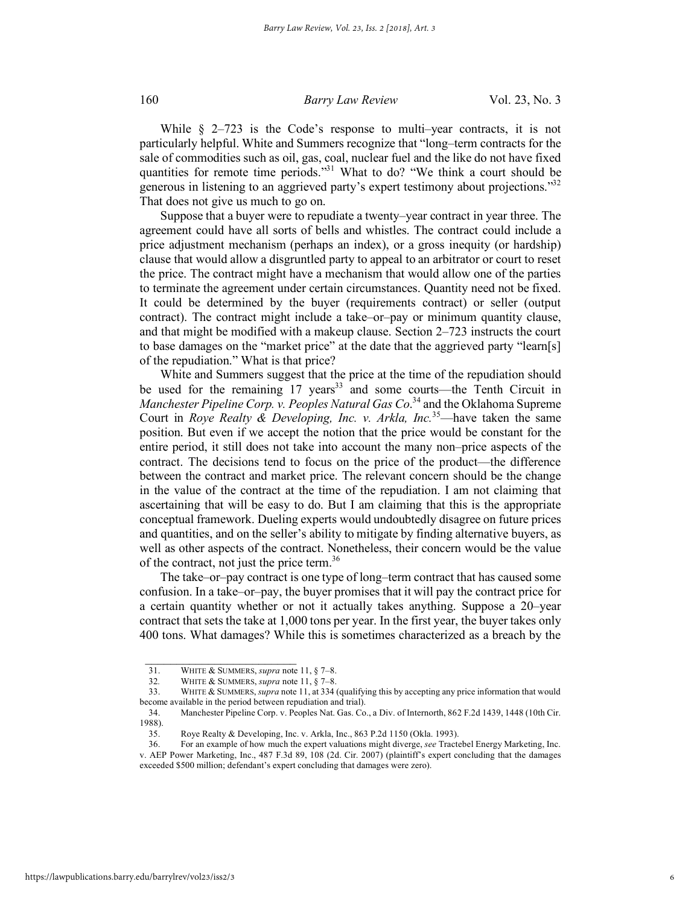While  $\frac{1}{2}$  2–723 is the Code's response to multi–year contracts, it is not particularly helpful. White and Summers recognize that "long–term contracts for the sale of commodities such as oil, gas, coal, nuclear fuel and the like do not have fixed quantities for remote time periods."<sup>31</sup> What to do? "We think a court should be generous in listening to an aggrieved party's expert testimony about projections."32 That does not give us much to go on.

Suppose that a buyer were to repudiate a twenty–year contract in year three. The agreement could have all sorts of bells and whistles. The contract could include a price adjustment mechanism (perhaps an index), or a gross inequity (or hardship) clause that would allow a disgruntled party to appeal to an arbitrator or court to reset the price. The contract might have a mechanism that would allow one of the parties to terminate the agreement under certain circumstances. Quantity need not be fixed. It could be determined by the buyer (requirements contract) or seller (output contract). The contract might include a take–or–pay or minimum quantity clause, and that might be modified with a makeup clause. Section 2–723 instructs the court to base damages on the "market price" at the date that the aggrieved party "learn[s] of the repudiation." What is that price?

White and Summers suggest that the price at the time of the repudiation should be used for the remaining 17 years<sup>33</sup> and some courts—the Tenth Circuit in *Manchester Pipeline Corp. v. Peoples Natural Gas Co*. <sup>34</sup> and the Oklahoma Supreme Court in *Roye Realty & Developing, Inc. v. Arkla, Inc.*35—have taken the same position. But even if we accept the notion that the price would be constant for the entire period, it still does not take into account the many non–price aspects of the contract. The decisions tend to focus on the price of the product—the difference between the contract and market price. The relevant concern should be the change in the value of the contract at the time of the repudiation. I am not claiming that ascertaining that will be easy to do. But I am claiming that this is the appropriate conceptual framework. Dueling experts would undoubtedly disagree on future prices and quantities, and on the seller's ability to mitigate by finding alternative buyers, as well as other aspects of the contract. Nonetheless, their concern would be the value of the contract, not just the price term.<sup>36</sup>

The take–or–pay contract is one type of long–term contract that has caused some confusion. In a take–or–pay, the buyer promises that it will pay the contract price for a certain quantity whether or not it actually takes anything. Suppose a 20–year contract that sets the take at 1,000 tons per year. In the first year, the buyer takes only 400 tons. What damages? While this is sometimes characterized as a breach by the

<sup>31.</sup> WHITE & SUMMERS, *supra* note 11, § 7–8.

<sup>32</sup>*.* WHITE & SUMMERS, *supra* note 11, § 7–8.

<sup>33.</sup> WHITE & SUMMERS, *supra* note 11, at 334 (qualifying this by accepting any price information that would become available in the period between repudiation and trial).

<sup>34.</sup> Manchester Pipeline Corp. v. Peoples Nat. Gas. Co., a Div. of Internorth, 862 F.2d 1439, 1448 (10th Cir. 1988).

<sup>35.</sup> Roye Realty & Developing, Inc. v. Arkla, Inc., 863 P.2d 1150 (Okla. 1993).

<sup>36.</sup> For an example of how much the expert valuations might diverge, *see* Tractebel Energy Marketing, Inc. v. AEP Power Marketing, Inc., 487 F.3d 89, 108 (2d. Cir. 2007) (plaintiff's expert concluding that the damages exceeded \$500 million; defendant's expert concluding that damages were zero).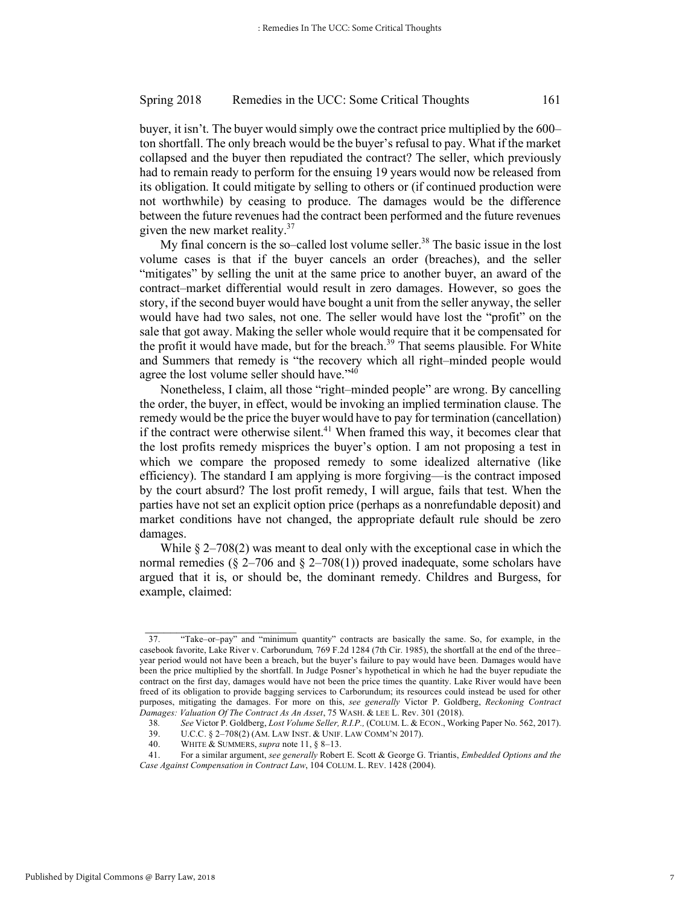buyer, it isn't. The buyer would simply owe the contract price multiplied by the 600– ton shortfall. The only breach would be the buyer's refusal to pay. What if the market collapsed and the buyer then repudiated the contract? The seller, which previously had to remain ready to perform for the ensuing 19 years would now be released from its obligation. It could mitigate by selling to others or (if continued production were not worthwhile) by ceasing to produce. The damages would be the difference between the future revenues had the contract been performed and the future revenues given the new market reality.<sup>37</sup>

My final concern is the so-called lost volume seller.<sup>38</sup> The basic issue in the lost volume cases is that if the buyer cancels an order (breaches), and the seller "mitigates" by selling the unit at the same price to another buyer, an award of the contract–market differential would result in zero damages. However, so goes the story, if the second buyer would have bought a unit from the seller anyway, the seller would have had two sales, not one. The seller would have lost the "profit" on the sale that got away. Making the seller whole would require that it be compensated for the profit it would have made, but for the breach.<sup>39</sup> That seems plausible. For White and Summers that remedy is "the recovery which all right–minded people would agree the lost volume seller should have."<sup>40</sup>

Nonetheless, I claim, all those "right–minded people" are wrong. By cancelling the order, the buyer, in effect, would be invoking an implied termination clause. The remedy would be the price the buyer would have to pay for termination (cancellation) if the contract were otherwise silent.<sup>41</sup> When framed this way, it becomes clear that the lost profits remedy misprices the buyer's option. I am not proposing a test in which we compare the proposed remedy to some idealized alternative (like efficiency). The standard I am applying is more forgiving—is the contract imposed by the court absurd? The lost profit remedy, I will argue, fails that test. When the parties have not set an explicit option price (perhaps as a nonrefundable deposit) and market conditions have not changed, the appropriate default rule should be zero damages.

While § 2–708(2) was meant to deal only with the exceptional case in which the normal remedies ( $\S 2-706$  and  $\S 2-708(1)$ ) proved inadequate, some scholars have argued that it is, or should be, the dominant remedy. Childres and Burgess, for example, claimed:

 $\frac{1}{2}$  ,  $\frac{1}{2}$  ,  $\frac{1}{2}$  ,  $\frac{1}{2}$  ,  $\frac{1}{2}$  ,  $\frac{1}{2}$  ,  $\frac{1}{2}$  ,  $\frac{1}{2}$  ,  $\frac{1}{2}$  ,  $\frac{1}{2}$  ,  $\frac{1}{2}$  ,  $\frac{1}{2}$  ,  $\frac{1}{2}$  ,  $\frac{1}{2}$  ,  $\frac{1}{2}$  ,  $\frac{1}{2}$  ,  $\frac{1}{2}$  ,  $\frac{1}{2}$  ,  $\frac{1$ 

<sup>37.</sup> "Take–or–pay" and "minimum quantity" contracts are basically the same. So, for example, in the casebook favorite, Lake River v. Carborundum*,* 769 F.2d 1284 (7th Cir. 1985), the shortfall at the end of the three– year period would not have been a breach, but the buyer's failure to pay would have been. Damages would have been the price multiplied by the shortfall. In Judge Posner's hypothetical in which he had the buyer repudiate the contract on the first day, damages would have not been the price times the quantity. Lake River would have been freed of its obligation to provide bagging services to Carborundum; its resources could instead be used for other purposes, mitigating the damages. For more on this, *see generally* Victor P. Goldberg, *Reckoning Contract Damages: Valuation Of The Contract As An Asset*, 75 WASH. & LEE L. Rev. 301 (2018).

<sup>38</sup>*. See* Victor P. Goldberg, *Lost Volume Seller, R.I.P.,* (COLUM. L. & ECON., Working Paper No. 562, 2017).

U.C.C. § 2-708(2) (AM. LAW INST. & UNIF. LAW COMM'N 2017).

<sup>40.</sup> WHITE & SUMMERS, *supra* note 11, § 8–13.<br>41 For a similar aroument *see generally* Rober

<sup>41.</sup> For a similar argument, *see generally* Robert E. Scott & George G. Triantis, *Embedded Options and the Case Against Compensation in Contract Law*, 104 COLUM. L. REV. 1428 (2004).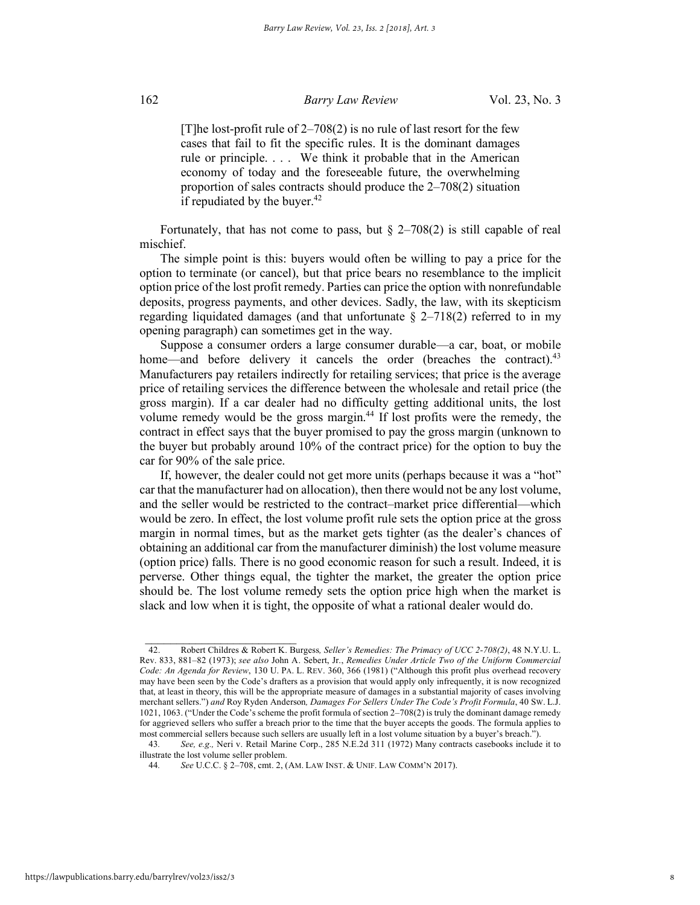[T]he lost-profit rule of  $2-708(2)$  is no rule of last resort for the few cases that fail to fit the specific rules. It is the dominant damages rule or principle. . . . We think it probable that in the American economy of today and the foreseeable future, the overwhelming proportion of sales contracts should produce the 2–708(2) situation if repudiated by the buyer. $42$ 

Fortunately, that has not come to pass, but  $\S$  2–708(2) is still capable of real mischief.

The simple point is this: buyers would often be willing to pay a price for the option to terminate (or cancel), but that price bears no resemblance to the implicit option price of the lost profit remedy. Parties can price the option with nonrefundable deposits, progress payments, and other devices. Sadly, the law, with its skepticism regarding liquidated damages (and that unfortunate  $\S$  2–718(2) referred to in my opening paragraph) can sometimes get in the way.

Suppose a consumer orders a large consumer durable—a car, boat, or mobile home—and before delivery it cancels the order (breaches the contract).<sup>43</sup> Manufacturers pay retailers indirectly for retailing services; that price is the average price of retailing services the difference between the wholesale and retail price (the gross margin). If a car dealer had no difficulty getting additional units, the lost volume remedy would be the gross margin.<sup>44</sup> If lost profits were the remedy, the contract in effect says that the buyer promised to pay the gross margin (unknown to the buyer but probably around 10% of the contract price) for the option to buy the car for 90% of the sale price.

If, however, the dealer could not get more units (perhaps because it was a "hot" car that the manufacturer had on allocation), then there would not be any lost volume, and the seller would be restricted to the contract–market price differential—which would be zero. In effect, the lost volume profit rule sets the option price at the gross margin in normal times, but as the market gets tighter (as the dealer's chances of obtaining an additional car from the manufacturer diminish) the lost volume measure (option price) falls. There is no good economic reason for such a result. Indeed, it is perverse. Other things equal, the tighter the market, the greater the option price should be. The lost volume remedy sets the option price high when the market is slack and low when it is tight, the opposite of what a rational dealer would do.

 $\frac{1}{2}$  ,  $\frac{1}{2}$  ,  $\frac{1}{2}$  ,  $\frac{1}{2}$  ,  $\frac{1}{2}$  ,  $\frac{1}{2}$  ,  $\frac{1}{2}$  ,  $\frac{1}{2}$  ,  $\frac{1}{2}$  ,  $\frac{1}{2}$  ,  $\frac{1}{2}$  ,  $\frac{1}{2}$  ,  $\frac{1}{2}$  ,  $\frac{1}{2}$  ,  $\frac{1}{2}$  ,  $\frac{1}{2}$  ,  $\frac{1}{2}$  ,  $\frac{1}{2}$  ,  $\frac{1$ 42. Robert Childres & Robert K. Burgess*, Seller's Remedies: The Primacy of UCC 2-708(2)*, 48 N.Y.U. L. Rev. 833, 881–82 (1973); *see also* John A. Sebert, Jr., *Remedies Under Article Two of the Uniform Commercial Code: An Agenda for Review*, 130 U. PA. L. REV. 360, 366 (1981) ("Although this profit plus overhead recovery may have been seen by the Code's drafters as a provision that would apply only infrequently, it is now recognized that, at least in theory, this will be the appropriate measure of damages in a substantial majority of cases involving merchant sellers.") *and* Roy Ryden Anderson*, Damages For Sellers Under The Code's Profit Formula*, 40 SW. L.J. 1021, 1063. ("Under the Code's scheme the profit formula of section 2–708(2) is truly the dominant damage remedy for aggrieved sellers who suffer a breach prior to the time that the buyer accepts the goods. The formula applies to most commercial sellers because such sellers are usually left in a lost volume situation by a buyer's breach.").

<sup>43</sup>*. See, e.g.,* Neri v. Retail Marine Corp., 285 N.E.2d 311 (1972) Many contracts casebooks include it to illustrate the lost volume seller problem.

<sup>44</sup>*. See* U.C.C. § 2–708, cmt. 2, (AM. LAW INST. & UNIF. LAW COMM'N 2017).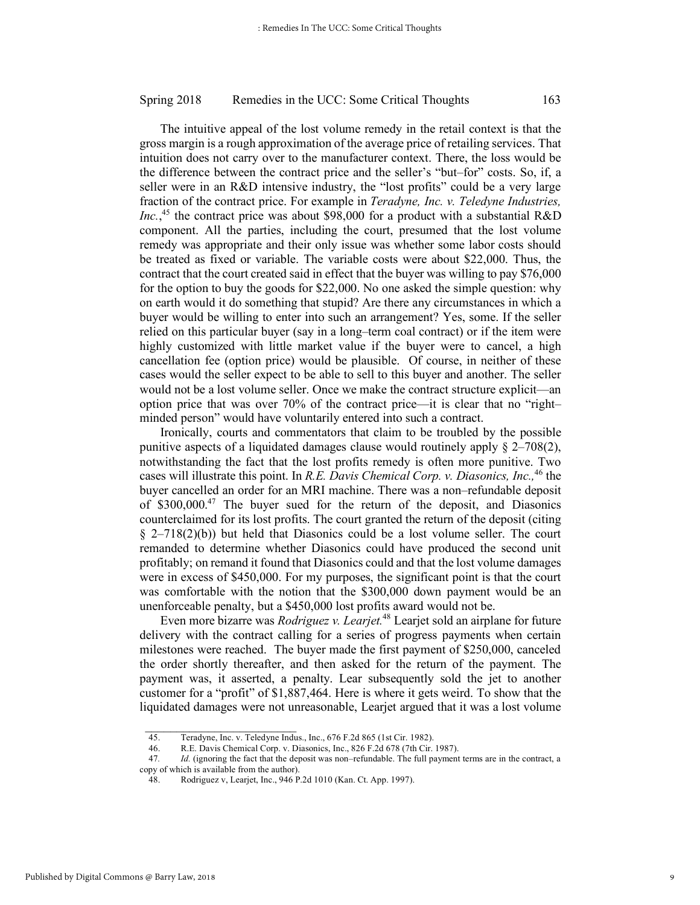The intuitive appeal of the lost volume remedy in the retail context is that the gross margin is a rough approximation of the average price of retailing services. That intuition does not carry over to the manufacturer context. There, the loss would be the difference between the contract price and the seller's "but–for" costs. So, if, a seller were in an R&D intensive industry, the "lost profits" could be a very large fraction of the contract price. For example in *Teradyne, Inc. v. Teledyne Industries, Inc.*, <sup>45</sup> the contract price was about \$98,000 for a product with a substantial R&D component. All the parties, including the court, presumed that the lost volume remedy was appropriate and their only issue was whether some labor costs should be treated as fixed or variable. The variable costs were about \$22,000. Thus, the contract that the court created said in effect that the buyer was willing to pay \$76,000 for the option to buy the goods for \$22,000. No one asked the simple question: why on earth would it do something that stupid? Are there any circumstances in which a buyer would be willing to enter into such an arrangement? Yes, some. If the seller relied on this particular buyer (say in a long–term coal contract) or if the item were highly customized with little market value if the buyer were to cancel, a high cancellation fee (option price) would be plausible. Of course, in neither of these cases would the seller expect to be able to sell to this buyer and another. The seller would not be a lost volume seller. Once we make the contract structure explicit—an option price that was over 70% of the contract price—it is clear that no "right– minded person" would have voluntarily entered into such a contract.

Ironically, courts and commentators that claim to be troubled by the possible punitive aspects of a liquidated damages clause would routinely apply § 2–708(2), notwithstanding the fact that the lost profits remedy is often more punitive. Two cases will illustrate this point. In *R.E. Davis Chemical Corp. v. Diasonics, Inc.,*<sup>46</sup> the buyer cancelled an order for an MRI machine. There was a non–refundable deposit of \$300,000.<sup>47</sup> The buyer sued for the return of the deposit, and Diasonics counterclaimed for its lost profits. The court granted the return of the deposit (citing  $\S$  2–718(2)(b)) but held that Diasonics could be a lost volume seller. The court remanded to determine whether Diasonics could have produced the second unit profitably; on remand it found that Diasonics could and that the lost volume damages were in excess of \$450,000. For my purposes, the significant point is that the court was comfortable with the notion that the \$300,000 down payment would be an unenforceable penalty, but a \$450,000 lost profits award would not be.

Even more bizarre was *Rodriguez v. Learjet.*<sup>48</sup> Learjet sold an airplane for future delivery with the contract calling for a series of progress payments when certain milestones were reached. The buyer made the first payment of \$250,000, canceled the order shortly thereafter, and then asked for the return of the payment. The payment was, it asserted, a penalty. Lear subsequently sold the jet to another customer for a "profit" of \$1,887,464. Here is where it gets weird. To show that the liquidated damages were not unreasonable, Learjet argued that it was a lost volume

<sup>45.</sup> Teradyne, Inc. v. Teledyne Indus., Inc., 676 F.2d 865 (1st Cir. 1982).

<sup>46.</sup> R.E. Davis Chemical Corp. v. Diasonics, Inc., 826 F.2d 678 (7th Cir. 1987).

<sup>47</sup>*. Id.* (ignoring the fact that the deposit was non–refundable. The full payment terms are in the contract, a copy of which is available from the author).

<sup>48.</sup> Rodriguez v, Learjet, Inc., 946 P.2d 1010 (Kan. Ct. App. 1997).